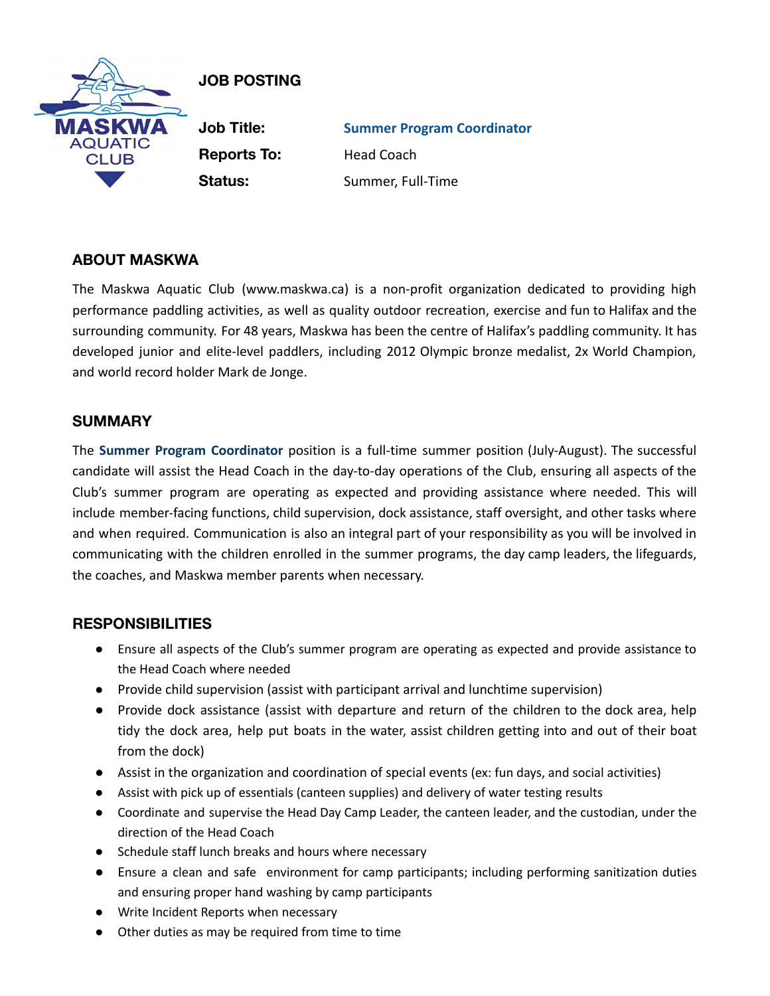

# **JOB POSTING**

**Job Title: Summer Program Coordinator Reports To:** Head Coach **Status:** Summer, Full-Time

# **ABOUT MASKWA**

The Maskwa Aquatic Club (www.maskwa.ca) is a non-profit organization dedicated to providing high performance paddling activities, as well as quality outdoor recreation, exercise and fun to Halifax and the surrounding community. For 48 years, Maskwa has been the centre of Halifax's paddling community. It has developed junior and elite-level paddlers, including 2012 Olympic bronze medalist, 2x World Champion, and world record holder Mark de Jonge.

### **SUMMARY**

The **Summer Program Coordinator** position is a full-time summer position (July-August). The successful candidate will assist the Head Coach in the day-to-day operations of the Club, ensuring all aspects of the Club's summer program are operating as expected and providing assistance where needed. This will include member-facing functions, child supervision, dock assistance, staff oversight, and other tasks where and when required. Communication is also an integral part of your responsibility as you will be involved in communicating with the children enrolled in the summer programs, the day camp leaders, the lifeguards, the coaches, and Maskwa member parents when necessary.

## **RESPONSIBILITIES**

- Ensure all aspects of the Club's summer program are operating as expected and provide assistance to the Head Coach where needed
- Provide child supervision (assist with participant arrival and lunchtime supervision)
- Provide dock assistance (assist with departure and return of the children to the dock area, help tidy the dock area, help put boats in the water, assist children getting into and out of their boat from the dock)
- Assist in the organization and coordination of special events (ex: fun days, and social activities)
- Assist with pick up of essentials (canteen supplies) and delivery of water testing results
- Coordinate and supervise the Head Day Camp Leader, the canteen leader, and the custodian, under the direction of the Head Coach
- Schedule staff lunch breaks and hours where necessary
- Ensure a clean and safe environment for camp participants; including performing sanitization duties and ensuring proper hand washing by camp participants
- Write Incident Reports when necessary
- Other duties as may be required from time to time